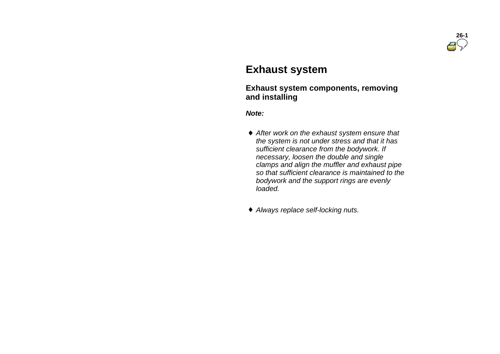

# **Exhaust system**

#### **Exhaust system components, removing and installing**

*Note:*

- *After work on the exhaust system ensure that the system is not under stress and that it has sufficient clearance from the bodywork. If necessary, loosen the double and single clamps and align the muffler and exhaust pipe so that sufficient clearance is maintained to the bodywork and the support rings are evenly loaded.*
- *Always replace self-locking nuts.*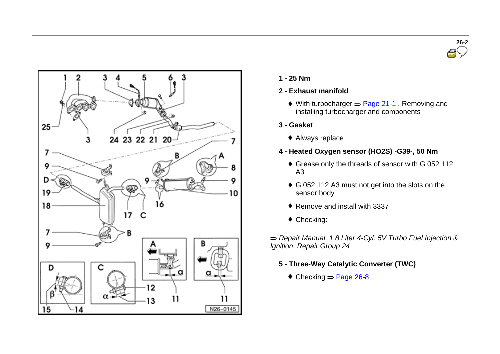



- **1 - 25 Nm**
- **2 - Exhaust manifold**
	- $\bullet$  With turbocharger  $\Rightarrow$  Page 21-1, Removing and installing turbocharger and components
- **3 - Gasket**
	- Always replace
- **4 - Heated Oxygen sensor (HO2S) -G39-, 50 Nm**
	- Grease only the threads of sensor with G 052 112 A3
	- G 052 112 A3 must not get into the slots on the sensor body
	- ♦ Remove and install with 3337
	- ◆ Checking:

*Repair Manual, 1.8 Liter 4-Cyl. 5V Turbo Fuel Injection & Ignition, Repair Group 24*

- **5 - Three-Way Catalytic Converter (TWC)**
	- $\triangle$  Checking  $\Rightarrow$  Page 26-8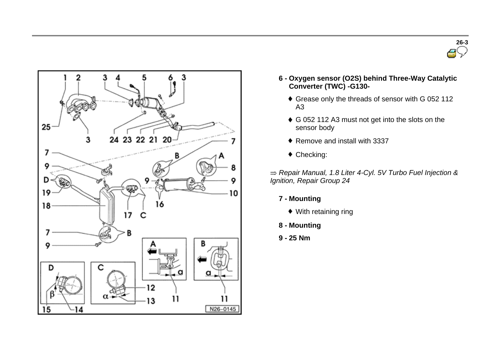



- **6 - Oxygen sensor (O2S) behind Three-Way Catalytic Converter (TWC) -G130-**
	- Grease only the threads of sensor with G 052 112 A3
	- G 052 112 A3 must not get into the slots on the sensor body
	- ◆ Remove and install with 3337
	- Checking:

*Repair Manual, 1.8 Liter 4-Cyl. 5V Turbo Fuel Injection & Ignition, Repair Group 24*

- **7 - Mounting**
	- With retaining ring
- **8 - Mounting**
- **9 - 25 Nm**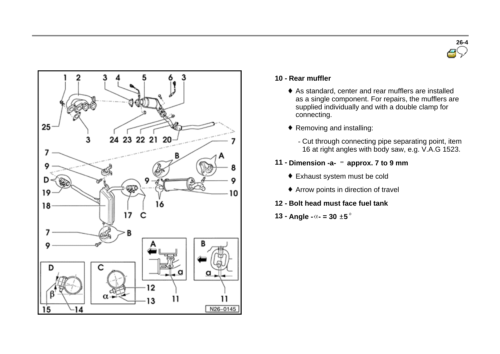



#### **10 - Rear muffler**

- As standard, center and rear mufflers are installed as a single component. For repairs, the mufflers are supplied individually and with a double clamp for connecting.
- ◆ Removing and installing:
	- Cut through connecting pipe separating point, item 16 at right angles with body saw, e.g. V.A.G 1523.
- **11 - Dimension -a- approx. 7 to 9 mm**
	- Exhaust system must be cold
	- Arrow points in direction of travel
- **12 - Bolt head must face fuel tank**
- **13 Angle**  $\alpha$  = 30  $\pm$  5<sup> $\circ$ </sup>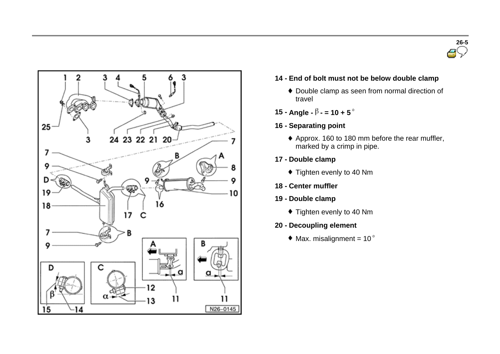



- **14 - End of bolt must not be below double clamp**
	- Double clamp as seen from normal direction of travel
- **15 Angle -**  $\beta$  = **10 + 5** $\degree$
- **16 - Separating point**
	- Approx. 160 to 180 mm before the rear muffler, marked by a crimp in pipe.
- **17 - Double clamp**
	- $\bullet$  Tighten evenly to 40 Nm
- **18 - Center muffler**
- **19 - Double clamp**
	- $\bullet$  Tighten evenly to 40 Nm
- **20 - Decoupling element**
	- $*$  Max. misalignment = 10 $\degree$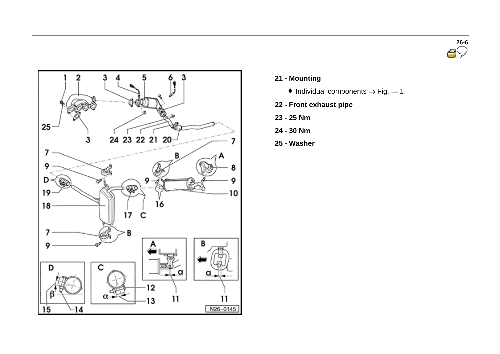



- **21 - Mounting**
	- $\bullet$  Individual components  $\Rightarrow$  Fig.  $\Rightarrow$  1
- **22 - Front exhaust pipe**
- **23 - 25 Nm**
- **24 - 30 Nm**
- **25 - Washer**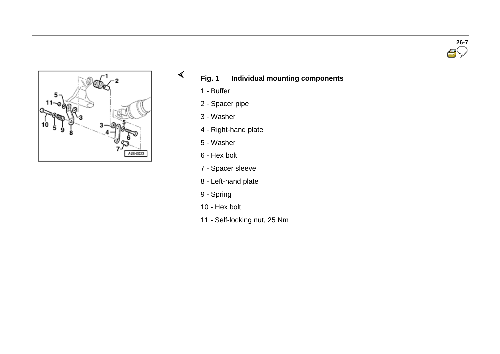



# **Fig. 1 Individual mounting components**

- Buffer

 $\blacktriangleleft$ 

- Spacer pipe
- Washer
- Right-hand plate
- Washer
- Hex bolt
- Spacer sleeve
- Left-hand plate
- Spring
- Hex bolt
- Self-locking nut, 25 Nm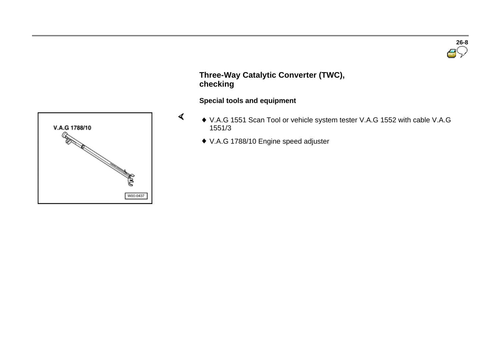

# **Three-Way Catalytic Converter (TWC), checking**

#### **Special tools and equipment**

- V.A.G 1551 Scan Tool or vehicle system tester V.A.G 1552 with cable V.A.G 1551/3
	- V.A.G 1788/10 Engine speed adjuster

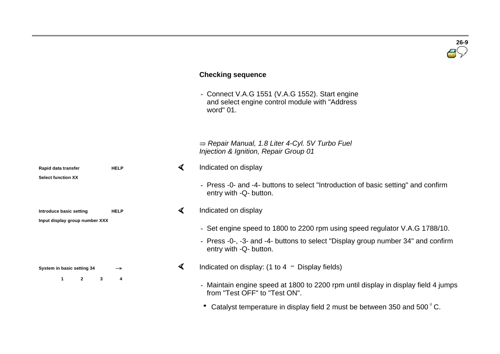# **Checking sequence**  - Connect V.A.G 1551 (V.A.G 1552). Start engine and select engine control module with "Address word" 01. *Repair Manual, 1.8 Liter 4-Cyl. 5V Turbo Fuel Injection & Ignition, Repair Group 01* Indicated on display  $\mathcal{A}$ **Rapid data transfer HELP Select function XX** - Press -0- and -4- buttons to select "Introduction of basic setting" and confirm entry with -Q- button.  $\blacktriangleleft$ Indicated on display **Introduce basic setting HELP Input display group number XXX** - Set engine speed to 1800 to 2200 rpm using speed regulator V.A.G 1788/10. - Press -0-, -3- and -4- buttons to select "Display group number 34" and confirm entry with -Q- button. ∢ Indicated on display: (1 to  $4 =$  Display fields) **System in basic setting 34 1 2 3 4**

- Maintain engine speed at 1800 to 2200 rpm until display in display field 4 jumps from "Test OFF" to "Test ON".

**26-9**

• Catalyst temperature in display field 2 must be between 350 and 500°C.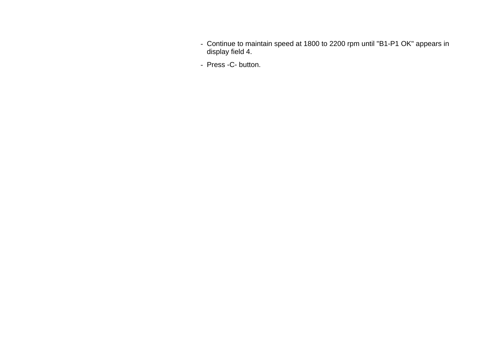- Continue to maintain speed at 1800 to 2200 rpm until "B1-P1 OK" appears in display field 4.
- Press -C- button.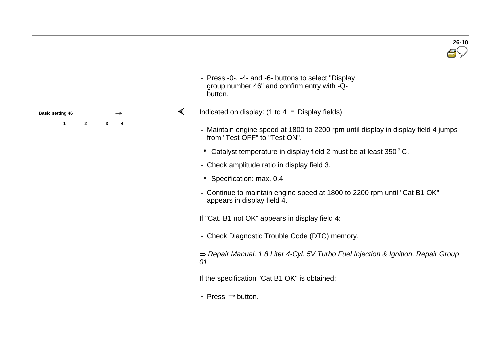

- Press -0-, -4- and -6- buttons to select "Display group number 46" and confirm entry with -Qbutton.
- $\blacktriangleleft$ Indicated on display: (1 to  $4 =$  Display fields)
	- Maintain engine speed at 1800 to 2200 rpm until display in display field 4 jumps from "Test OFF" to "Test ON".
	- Catalyst temperature in display field 2 must be at least 350°C.
	- Check amplitude ratio in display field 3.
	- \* Specification: max. 0.4
	- Continue to maintain engine speed at 1800 to 2200 rpm until "Cat B1 OK" appears in display field 4.

If "Cat. B1 not OK" appears in display field 4:

- Check Diagnostic Trouble Code (DTC) memory.

*Repair Manual, 1.8 Liter 4-Cyl. 5V Turbo Fuel Injection & Ignition, Repair Group 01*

If the specification "Cat B1 OK" is obtained:

- Press  $\Rightarrow$  button.

| <b>Basic setting 46</b> |  |   |  |
|-------------------------|--|---|--|
|                         |  | 3 |  |